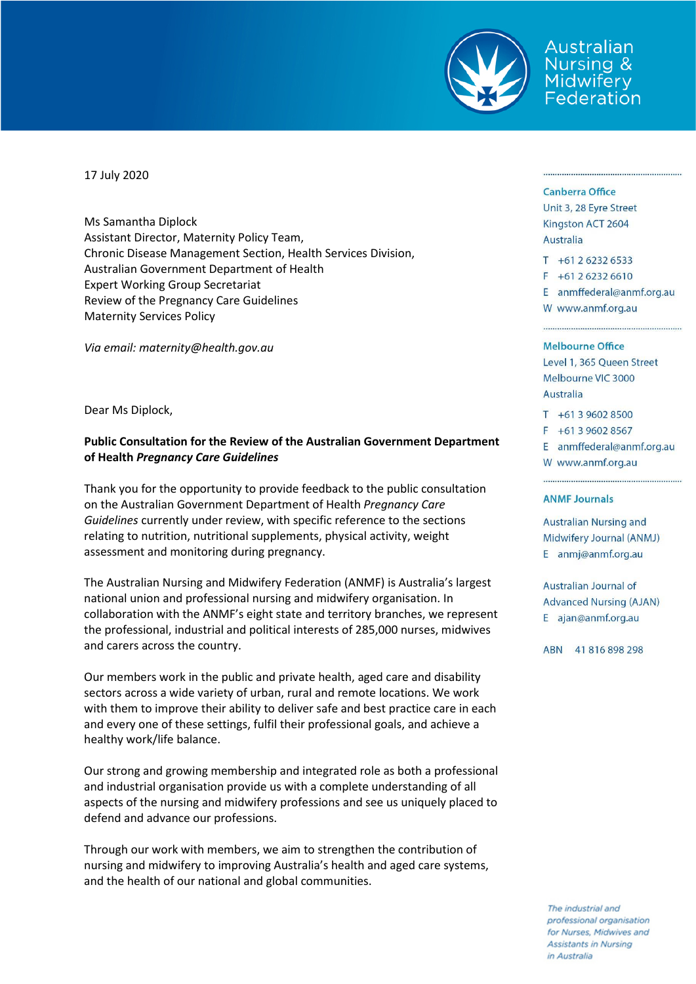

Australian Nursing & Midwifery Federation

17 July 2020

Ms Samantha Diplock Assistant Director, Maternity Policy Team, Chronic Disease Management Section, Health Services Division, Australian Government Department of Health Expert Working Group Secretariat Review of the Pregnancy Care Guidelines Maternity Services Policy

*Via email: [maternity@health.gov.au](mailto:maternity@health.gov.au)*

Dear Ms Diplock,

## **Public Consultation for the Review of the Australian Government Department of Health** *Pregnancy Care Guidelines*

Thank you for the opportunity to provide feedback to the public consultation on the Australian Government Department of Health *Pregnancy Care Guidelines* currently under review, with specific reference to the sections relating to nutrition, nutritional supplements, physical activity, weight assessment and monitoring during pregnancy.

The Australian Nursing and Midwifery Federation (ANMF) is Australia's largest national union and professional nursing and midwifery organisation. In collaboration with the ANMF's eight state and territory branches, we represent the professional, industrial and political interests of 285,000 nurses, midwives and carers across the country.

Our members work in the public and private health, aged care and disability sectors across a wide variety of urban, rural and remote locations. We work with them to improve their ability to deliver safe and best practice care in each and every one of these settings, fulfil their professional goals, and achieve a healthy work/life balance.

Our strong and growing membership and integrated role as both a professional and industrial organisation provide us with a complete understanding of all aspects of the nursing and midwifery professions and see us uniquely placed to defend and advance our professions.

Through our work with members, we aim to strengthen the contribution of nursing and midwifery to improving Australia's health and aged care systems, and the health of our national and global communities.

### Canberra Office

Unit 3, 28 Eyre Street Kingston ACT 2604 Australia

 $T + 61262326533$  $F + 61262326610$ E anmffederal@anmf.org.au

W www.anmf.org.au

### **Melbourne Office**

Level 1, 365 Queen Street Melbourne VIC 3000 Australia

 $T + 61396028500$  $F + 61396028567$ E anmffederal@anmf.org.au

W www.anmf.org.au

### **ANMF Journals**

Australian Nursing and Midwifery Journal (ANMJ) E anmj@anmf.org.au

**Australian Journal of Advanced Nursing (AJAN)** E ajan@anmf.org.au

ABN 41816898298

The industrial and professional organisation for Nurses, Midwives and **Assistants in Nursing** in Australia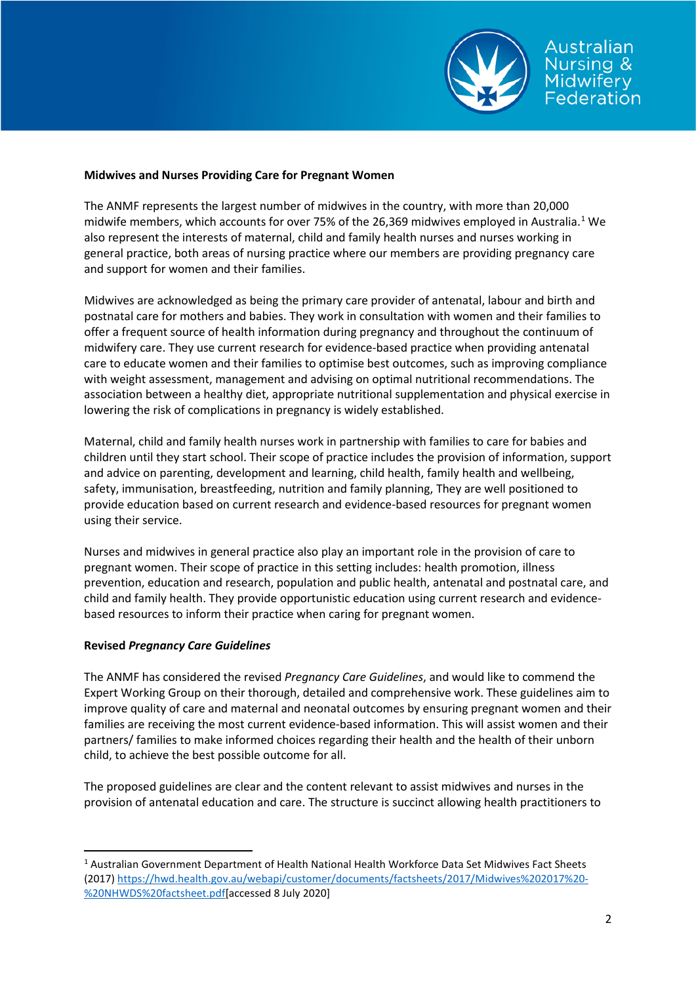

# Australian lursina & Midwifery Federation

## **Midwives and Nurses Providing Care for Pregnant Women**

The ANMF represents the largest number of midwives in the country, with more than 20,000 midwife members, which accounts for over 75% of the 26,369 midwives employed in Australia.<sup>[1](#page-1-0)</sup> We also represent the interests of maternal, child and family health nurses and nurses working in general practice, both areas of nursing practice where our members are providing pregnancy care and support for women and their families.

Midwives are acknowledged as being the primary care provider of antenatal, labour and birth and postnatal care for mothers and babies. They work in consultation with women and their families to offer a frequent source of health information during pregnancy and throughout the continuum of midwifery care. They use current research for evidence-based practice when providing antenatal care to educate women and their families to optimise best outcomes, such as improving compliance with weight assessment, management and advising on optimal nutritional recommendations. The association between a healthy diet, appropriate nutritional supplementation and physical exercise in lowering the risk of complications in pregnancy is widely established.

Maternal, child and family health nurses work in partnership with families to care for babies and children until they start school. Their scope of practice includes the provision of information, support and advice on parenting, development and learning, child health, family health and wellbeing, safety, immunisation, breastfeeding, nutrition and family planning, They are well positioned to provide education based on current research and evidence-based resources for pregnant women using their service.

Nurses and midwives in general practice also play an important role in the provision of care to pregnant women. Their scope of practice in this setting includes: health promotion, illness prevention, education and research, population and public health, antenatal and postnatal care, and child and family health. They provide opportunistic education using current research and evidencebased resources to inform their practice when caring for pregnant women.

### **Revised** *Pregnancy Care Guidelines*

The ANMF has considered the revised *Pregnancy Care Guidelines*, and would like to commend the Expert Working Group on their thorough, detailed and comprehensive work. These guidelines aim to improve quality of care and maternal and neonatal outcomes by ensuring pregnant women and their families are receiving the most current evidence-based information. This will assist women and their partners/ families to make informed choices regarding their health and the health of their unborn child, to achieve the best possible outcome for all.

The proposed guidelines are clear and the content relevant to assist midwives and nurses in the provision of antenatal education and care. The structure is succinct allowing health practitioners to

<span id="page-1-0"></span> <sup>1</sup> Australian Government Department of Health National Health Workforce Data Set Midwives Fact Sheets (2017[\) https://hwd.health.gov.au/webapi/customer/documents/factsheets/2017/Midwives%202017%20-](https://hwd.health.gov.au/webapi/customer/documents/factsheets/2017/Midwives%202017%20-%20NHWDS%20factsheet.pdf) [%20NHWDS%20factsheet.pdf\[](https://hwd.health.gov.au/webapi/customer/documents/factsheets/2017/Midwives%202017%20-%20NHWDS%20factsheet.pdf)accessed 8 July 2020]